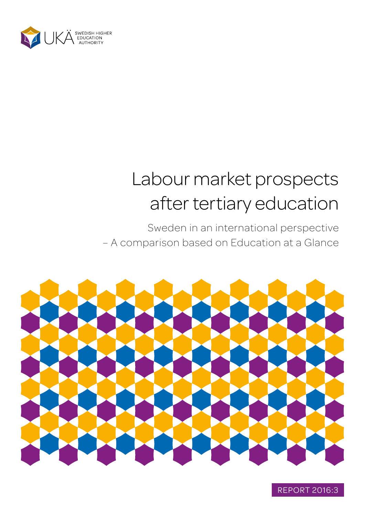

# Labour market prospects after tertiary education

Sweden in an international perspective – A comparison based on Education at a Glance



REPORT 2016:3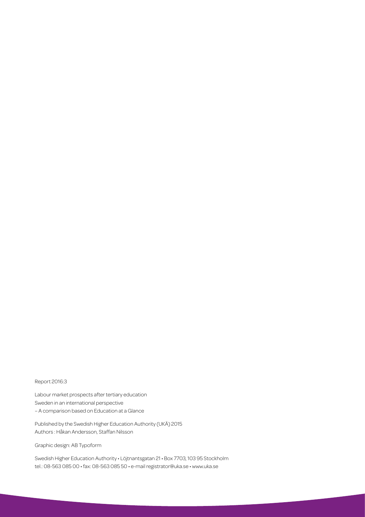#### Report 2016:3

Labour market prospects after tertiary education Sweden in an international perspective – A comparison based on Education at a Glance

Published by the Swedish Higher Education Authority (UKÄ) 2015 Authors : Håkan Andersson, Staffan Nilsson

Graphic design: AB Typoform

Swedish Higher Education Authority • Löjtnantsgatan 21 • Box 7703, 103 95 Stockholm tel.: 08-563 085 00 • fax: 08-563 085 50 • e-mail [registrator@uka.se](mailto:registrator@uka.se) • [www.uka.se](http://www.uka.se)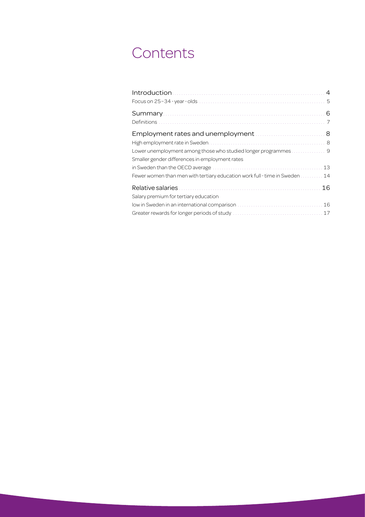## **Contents**

|                                                                                        | 6  |
|----------------------------------------------------------------------------------------|----|
| Employment rates and unemployment  8<br>Smaller gender differences in employment rates |    |
|                                                                                        | 13 |
| Fewer women than men with tertiary education work full-time in Sweden                  | 14 |
| Salary premium for tertiary education                                                  | 16 |
|                                                                                        | 16 |
|                                                                                        | 17 |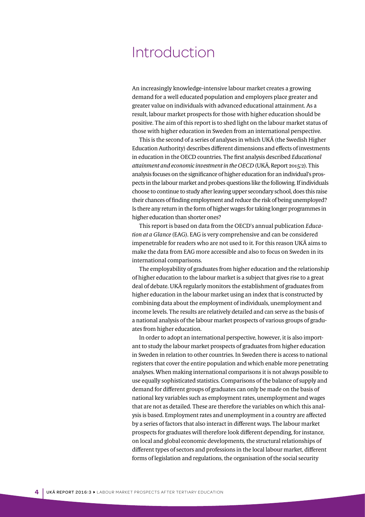### <span id="page-3-0"></span>Introduction

An increasingly knowledge-intensive labour market creates a growing demand for a well educated population and employers place greater and greater value on individuals with advanced educational attainment. As a result, labour market prospects for those with higher education should be positive. The aim of this report is to shed light on the labour market status of those with higher education in Sweden from an international perspective.

This is the second of a series of analyses in which UKÄ (the Swedish Higher Education Authority) describes different dimensions and effects of investments in education in the OECD countries. The first analysis described *Educational attainment and economic investment in the OECD* (UKÄ, Report 2015:2). This analysis focuses on the significance of higher education for an individual's prospects in the labour market and probes questions like the following. If individuals choose to continue to study after leaving upper secondary school, does this raise their chances of finding employment and reduce the risk of being unemployed? Is there any return in the form of higher wages for taking longer programmes in higher education than shorter ones?

This report is based on data from the OECD's annual publication *Education at a Glance* (EAG). EAG is very comprehensive and can be considered impenetrable for readers who are not used to it. For this reason UKÄ aims to make the data from EAG more accessible and also to focus on Sweden in its international comparisons.

The employability of graduates from higher education and the relationship of higher education to the labour market is a subject that gives rise to a great deal of debate. UKÄ regularly monitors the establishment of graduates from higher education in the labour market using an index that is constructed by combining data about the employment of individuals, unemployment and income levels. The results are relatively detailed and can serve as the basis of a national analysis of the labour market prospects of various groups of graduates from higher education.

In order to adopt an international perspective, however, it is also important to study the labour market prospects of graduates from higher education in Sweden in relation to other countries. In Sweden there is access to national registers that cover the entire population and which enable more penetrating analyses. When making international comparisons it is not always possible to use equally sophisticated statistics. Comparisons of the balance of supply and demand for different groups of graduates can only be made on the basis of national key variables such as employment rates, unemployment and wages that are not as detailed. These are therefore the variables on which this analysis is based. Employment rates and unemployment in a country are affected by a series of factors that also interact in different ways. The labour market prospects for graduates will therefore look different depending, for instance, on local and global economic developments, the structural relationships of different types of sectors and professions in the local labour market, different forms of legislation and regulations, the organisation of the social security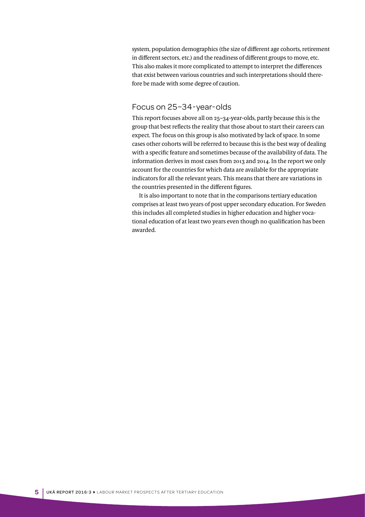<span id="page-4-0"></span>system, population demographics (the size of different age cohorts, retirement in different sectors, etc.) and the readiness of different groups to move, etc. This also makes it more complicated to attempt to interpret the differences that exist between various countries and such interpretations should therefore be made with some degree of caution.

#### Focus on 25–34-year-olds

This report focuses above all on 25–34-year-olds, partly because this is the group that best reflects the reality that those about to start their careers can expect. The focus on this group is also motivated by lack of space. In some cases other cohorts will be referred to because this is the best way of dealing with a specific feature and sometimes because of the availability of data. The information derives in most cases from 2013 and 2014. In the report we only account for the countries for which data are available for the appropriate indicators for all the relevant years. This means that there are variations in the countries presented in the different figures.

It is also important to note that in the comparisons tertiary education comprises at least two years of post upper secondary education. For Sweden this includes all completed studies in higher education and higher vocational education of at least two years even though no qualification has been awarded.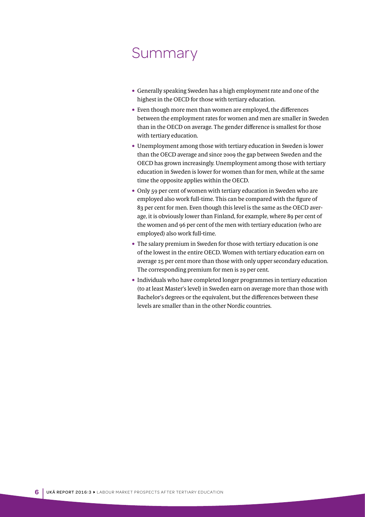## <span id="page-5-0"></span>Summary

- Generally speaking Sweden has a high employment rate and one of the highest in the OECD for those with tertiary education.
- Even though more men than women are employed, the differences between the employment rates for women and men are smaller in Sweden than in the OECD on average. The gender difference is smallest for those with tertiary education.
- Unemployment among those with tertiary education in Sweden is lower than the OECD average and since 2009 the gap between Sweden and the OECD has grown increasingly. Unemployment among those with tertiary education in Sweden is lower for women than for men, while at the same time the opposite applies within the OECD.
- Only 59 per cent of women with tertiary education in Sweden who are employed also work full-time. This can be compared with the figure of 83 per cent for men. Even though this level is the same as the OECD average, it is obviously lower than Finland, for example, where 89 per cent of the women and 96 per cent of the men with tertiary education (who are employed) also work full-time.
- The salary premium in Sweden for those with tertiary education is one of the lowest in the entire OECD. Women with tertiary education earn on average 25 per cent more than those with only upper secondary education. The corresponding premium for men is 29 per cent.
- Individuals who have completed longer programmes in tertiary education (to at least Master's level) in Sweden earn on average more than those with Bachelor's degrees or the equivalent, but the differences between these levels are smaller than in the other Nordic countries.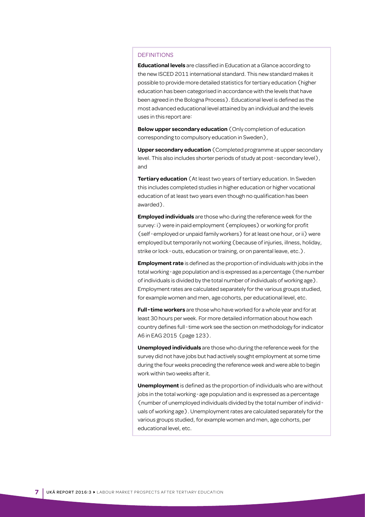#### <span id="page-6-0"></span>DEFINITIONS

**Educational levels** are classified in Education at a Glance according to the new ISCED 2011 international standard. This new standard makes it possible to provide more detailed statistics for tertiary education (higher education has been categorised in accordance with the levels that have been agreed in the Bologna Process). Educational level is defined as the most advanced educational level attained by an individual and the levels uses in this report are:

**Below upper secondary education** (Only completion of education corresponding to compulsory education in Sweden),

**Upper secondary education** (Completed programme at upper secondary level. This also includes shorter periods of study at post-secondary level), and

**Tertiary education** (At least two years of tertiary education. In Sweden this includes completed studies in higher education or higher vocational education of at least two years even though no qualification has been awarded).

**Employed individuals** are those who during the reference week for the survey: i) were in paid employment (employees) or working for profit (self-employed or unpaid family workers) for at least one hour, or ii) were employed but temporarily not working (because of injuries, illness, holiday, strike or lock-outs, education or training, or on parental leave, etc.).

**Employment rate** is defined as the proportion of individuals with jobs in the total working-age population and is expressed as a percentage (the number of individuals is divided by the total number of individuals of working age). Employment rates are calculated separately for the various groups studied, for example women and men, age cohorts, per educational level, etc.

**Full-time workers** are those who have worked for a whole year and for at least 30 hours per week. For more detailed information about how each country defines full-time work see the section on methodology for indicator A6 in EAG 2015 (page 123).

**Unemployed individuals** are those who during the reference week for the survey did not have jobs but had actively sought employment at some time during the four weeks preceding the reference week and were able to begin work within two weeks after it.

**Unemployment** is defined as the proportion of individuals who are without jobs in the total working-age population and is expressed as a percentage (number of unemployed individuals divided by the total number of individuals of working age). Unemployment rates are calculated separately for the various groups studied, for example women and men, age cohorts, per educational level, etc.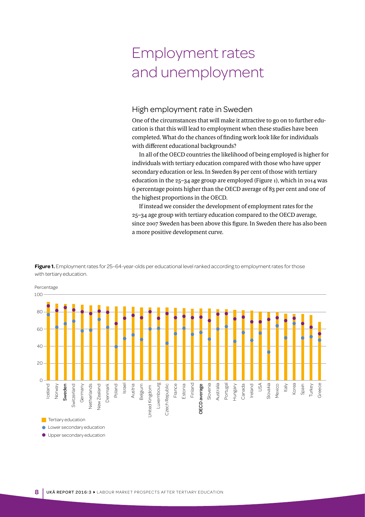## <span id="page-7-0"></span>Employment rates and unemployment

#### High employment rate in Sweden

One of the circumstances that will make it attractive to go on to further education is that this will lead to employment when these studies have been completed. What do the chances of finding work look like for individuals with different educational backgrounds?

In all of the OECD countries the likelihood of being employed is higher for individuals with tertiary education compared with those who have upper secondary education or less. In Sweden 89 per cent of those with tertiary education in the 25–34 age group are employed (Figure 1), which in 2014 was 6 percentage points higher than the OECD average of 83 per cent and one of the highest proportions in the OECD.

If instead we consider the development of employment rates for the 25–34 age group with tertiary education compared to the OECD average, since 2007 Sweden has been above this figure. In Sweden there has also been a more positive development curve.



Figure 1. Employment rates for 25-64-year-olds per educational level ranked according to employment rates for those with tertiary education.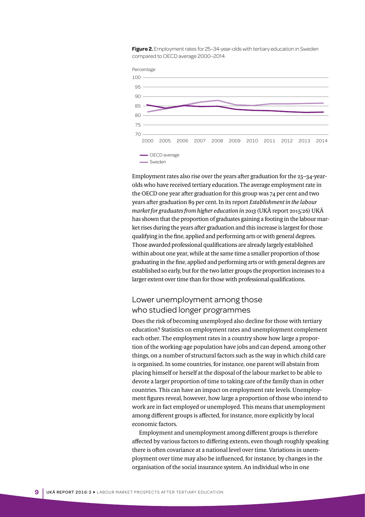<span id="page-8-0"></span>**Figure 2.** Employment rates for 25–34-year-olds with tertiary education in Sweden compared to OECD average 2000–2014.



Employment rates also rise over the years after graduation for the 25–34-yearolds who have received tertiary education. The average employment rate in the OECD one year after graduation for this group was 74 per cent and two years after graduation 89 per cent. In its report *Establishment in the labour market for graduates from higher education in 2013* (UKÄ report 2015:26) UKÄ has shown that the proportion of graduates gaining a footing in the labour market rises during the years after graduation and this increase is largest for those qualifying in the fine, applied and performing arts or with general degrees. Those awarded professional qualifications are already largely established within about one year, while at the same time a smaller proportion of those graduating in the fine, applied and performing arts or with general degrees are established so early, but for the two latter groups the proportion increases to a larger extent over time than for those with professional qualifications.

#### Lower unemployment among those who studied longer programmes

Does the risk of becoming unemployed also decline for those with tertiary education? Statistics on employment rates and unemployment complement each other. The employment rates in a country show how large a proportion of the working-age population have jobs and can depend, among other things, on a number of structural factors such as the way in which child care is organised. In some countries, for instance, one parent will abstain from placing himself or herself at the disposal of the labour market to be able to devote a larger proportion of time to taking care of the family than in other countries. This can have an impact on employment rate levels. Unemployment figures reveal, however, how large a proportion of those who intend to work are in fact employed or unemployed. This means that unemployment among different groups is affected, for instance, more explicitly by local economic factors.

Employment and unemployment among different groups is therefore affected by various factors to differing extents, even though roughly speaking there is often covariance at a national level over time. Variations in unemployment over time may also be influenced, for instance, by changes in the organisation of the social insurance system. An individual who in one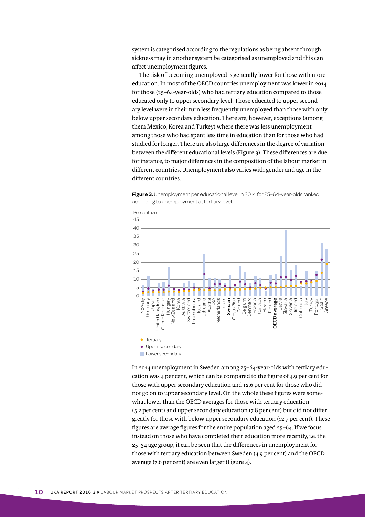system is categorised according to the regulations as being absent through sickness may in another system be categorised as unemployed and this can affect unemployment figures.

The risk of becoming unemployed is generally lower for those with more education. In most of the OECD countries unemployment was lower in 2014 for those (25–64-year-olds) who had tertiary education compared to those educated only to upper secondary level. Those educated to upper secondary level were in their turn less frequently unemployed than those with only below upper secondary education. There are, however, exceptions (among them Mexico, Korea and Turkey) where there was less unemployment among those who had spent less time in education than for those who had studied for longer. There are also large differences in the degree of variation between the different educational levels (Figure 3). These differences are due, for instance, to major differences in the composition of the labour market in different countries. Unemployment also varies with gender and age in the different countries.

**Figure 3.** Unemployment per educational level in 2014 for 25-64-year-olds ranked according to unemployment at tertiary level.



In 2014 unemployment in Sweden among 25–64-year-olds with tertiary education was 4 per cent, which can be compared to the figure of 4.9 per cent for those with upper secondary education and 12.6 per cent for those who did not go on to upper secondary level. On the whole these figures were somewhat lower than the OECD averages for those with tertiary education (5.2 per cent) and upper secondary education (7.8 per cent) but did not differ greatly for those with below upper secondary education (12.7 per cent). These figures are average figures for the entire population aged 25–64. If we focus instead on those who have completed their education more recently, i.e. the 25–34 age group, it can be seen that the differences in unemployment for those with tertiary education between Sweden (4.9 per cent) and the OECD average (7.6 per cent) are even larger (Figure 4).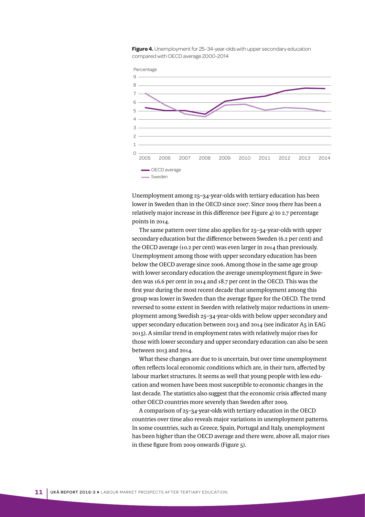

**Figure 4.** Unemployment for 25-34-year-olds with upper secondary education compared with OECD average 2000-2014

Unemployment among 25–34-year-olds with tertiary education has been lower in Sweden than in the OECD since 2007. Since 2009 there has been a relatively major increase in this difference (see Figure 4) to 2.7 percentage points in 2014.

The same pattern over time also applies for 25–34-year-olds with upper secondary education but the difference between Sweden (6.2 per cent) and the OECD average (10.2 per cent) was even larger in 2014 than previously. Unemployment among those with upper secondary education has been below the OECD average since 2006. Among those in the same age group with lower secondary education the average unemployment figure in Sweden was 16.6 per cent in 2014 and 18.7 per cent in the OECD. This was the first year during the most recent decade that unemployment among this group was lower in Sweden than the average figure for the OECD. The trend reversed to some extent in Sweden with relatively major reductions in unemployment among Swedish 25–34-year-olds with below upper secondary and upper secondary education between 2013 and 2014 (see indicator A5 in EAG 2015). A similar trend in employment rates with relatively major rises for those with lower secondary and upper secondary education can also be seen between 2013 and 2014.

What these changes are due to is uncertain, but over time unemployment often reflects local economic conditions which are, in their turn, affected by labour market structures. It seems as well that young people with less education and women have been most susceptible to economic changes in the last decade. The statistics also suggest that the economic crisis affected many other OECD countries more severely than Sweden after 2009.

A comparison of 25–34-year-olds with tertiary education in the OECD countries over time also reveals major variations in unemployment patterns. In some countries, such as Greece, Spain, Portugal and Italy, unemployment has been higher than the OECD average and there were, above all, major rises in these figure from 2009 onwards (Figure 5).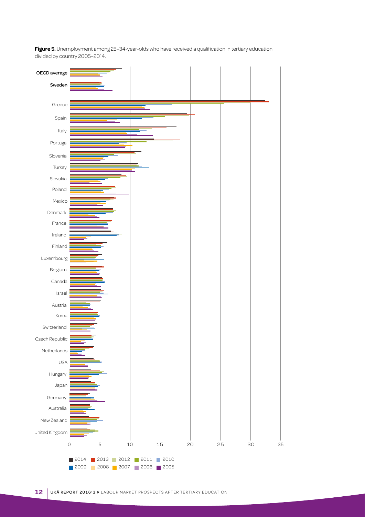**Figure 5.** Unemployment among 25–34-year-olds who have received a qualification in tertiary education divided by country 2005–2014.

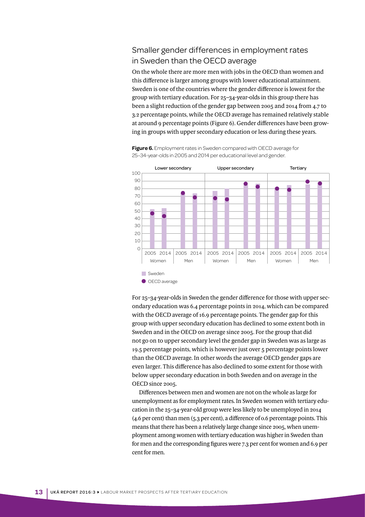#### <span id="page-12-0"></span>Smaller gender differences in employment rates in Sweden than the OECD average

On the whole there are more men with jobs in the OECD than women and this difference is larger among groups with lower educational attainment. Sweden is one of the countries where the gender difference is lowest for the group with tertiary education. For 25–34-year-olds in this group there has been a slight reduction of the gender gap between 2005 and 2014 from 4.7 to 3.2 percentage points, while the OECD average has remained relatively stable at around 9 percentage points (Figure 6). Gender differences have been growing in groups with upper secondary education or less during these years.



**Figure 6.** Employment rates in Sweden compared with OECD average for 25–34-year-olds in 2005 and 2014 per educational level and gender.

For 25–34-year-olds in Sweden the gender difference for those with upper secondary education was 6.4 percentage points in 2014, which can be compared with the OECD average of 16.9 percentage points. The gender gap for this group with upper secondary education has declined to some extent both in Sweden and in the OECD on average since 2005. For the group that did not go on to upper secondary level the gender gap in Sweden was as large as 19.5 percentage points, which is however just over 5 percentage points lower than the OECD average. In other words the average OECD gender gaps are even larger. This difference has also declined to some extent for those with below upper secondary education in both Sweden and on average in the OECD since 2005.

Differences between men and women are not on the whole as large for unemployment as for employment rates. In Sweden women with tertiary education in the 25–34-year-old group were less likely to be unemployed in 2014 (4.6 per cent) than men (5.3 per cent), a difference of 0.6 percentage points. This means that there has been a relatively large change since 2005, when unemployment among women with tertiary education was higher in Sweden than for men and the corresponding figures were 7.3 per cent for women and 6.9 per cent for men.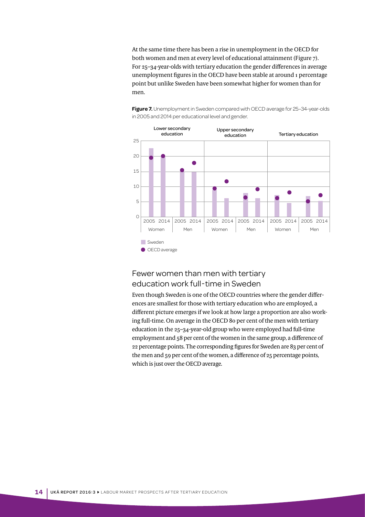<span id="page-13-0"></span>At the same time there has been a rise in unemployment in the OECD for both women and men at every level of educational attainment (Figure 7). For 25–34-year-olds with tertiary education the gender differences in average unemployment figures in the OECD have been stable at around 1 percentage point but unlike Sweden have been somewhat higher for women than for men.



Figure 7. Unemployment in Sweden compared with OECD average for 25-34-year-olds in 2005 and 2014 per educational level and gender.

#### Fewer women than men with tertiary education work full-time in Sweden

Even though Sweden is one of the OECD countries where the gender differences are smallest for those with tertiary education who are employed, a different picture emerges if we look at how large a proportion are also working full-time. On average in the OECD 80 per cent of the men with tertiary education in the 25–34-year-old group who were employed had full-time employment and 58 per cent of the women in the same group, a difference of 22 percentage points. The corresponding figures for Sweden are 83 per cent of the men and 59 per cent of the women, a difference of 25 percentage points, which is just over the OECD average.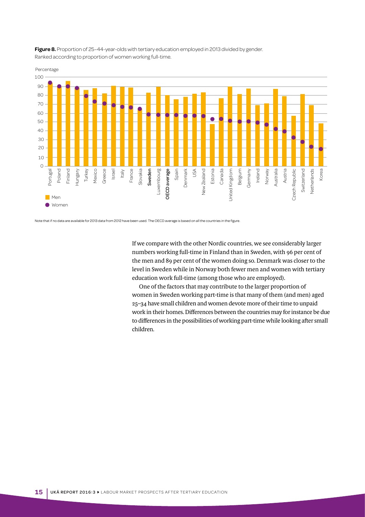

**Figure 8.** Proportion of 25-44-year-olds with tertiary education employed in 2013 divided by gender. Ranked according to proportion of women working full-time.

Note that if no data are available for 2013 data from 2012 have been used. The OECD average is based on all the countries in the figure.

If we compare with the other Nordic countries, we see considerably larger numbers working full-time in Finland than in Sweden, with 96 per cent of the men and 89 per cent of the women doing so. Denmark was closer to the level in Sweden while in Norway both fewer men and women with tertiary education work full-time (among those who are employed).

One of the factors that may contribute to the larger proportion of women in Sweden working part-time is that many of them (and men) aged 25–34 have small children and women devote more of their time to unpaid work in their homes. Differences between the countries may for instance be due to differences in the possibilities of working part-time while looking after small children.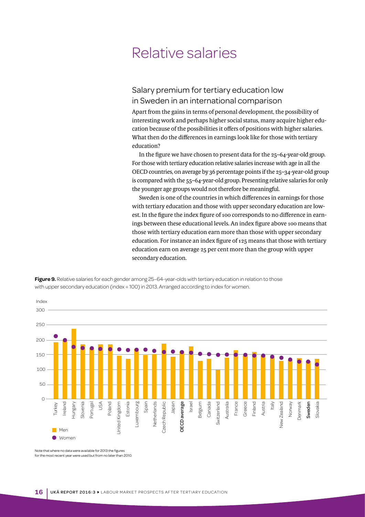## <span id="page-15-0"></span>Relative salaries

#### Salary premium for tertiary education low in Sweden in an international comparison

Apart from the gains in terms of personal development, the possibility of interesting work and perhaps higher social status, many acquire higher education because of the possibilities it offers of positions with higher salaries. What then do the differences in earnings look like for those with tertiary education?

In the figure we have chosen to present data for the 25–64-year-old group. For those with tertiary education relative salaries increase with age in all the OECD countries, on average by 36 percentage points if the 25–34-year-old group is compared with the 55–64-year-old group. Presenting relative salaries for only the younger age groups would not therefore be meaningful.

Sweden is one of the countries in which differences in earnings for those with tertiary education and those with upper secondary education are lowest. In the figure the index figure of 100 corresponds to no difference in earnings between these educational levels. An index figure above 100 means that those with tertiary education earn more than those with upper secondary education. For instance an index figure of 125 means that those with tertiary education earn on average 25 per cent more than the group with upper secondary education.

**Figure 9.** Relative salaries for each gender among 25–64-year-olds with tertiary education in relation to those with upper secondary education (index = 100) in 2013. Arranged according to index for women.



Note that where no data were available for 2013 the figures for the most recent year were used but from no later than 2010.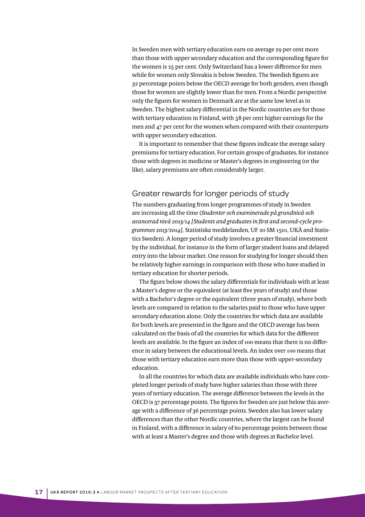<span id="page-16-0"></span>In Sweden men with tertiary education earn on average 29 per cent more than those with upper secondary education and the corresponding figure for the women is 25 per cent. Only Switzerland has a lower difference for men while for women only Slovakia is below Sweden. The Swedish figures are 32 percentage points below the OECD average for both genders, even though those for women are slightly lower than for men. From a Nordic perspective only the figures for women in Denmark are at the same low level as in Sweden. The highest salary differential in the Nordic countries are for those with tertiary education in Finland, with 58 per cent higher earnings for the men and 47 per cent for the women when compared with their counterparts with upper secondary education.

It is important to remember that these figures indicate the average salary premiums for tertiary education. For certain groups of graduates, for instance those with degrees in medicine or Master's degrees in engineering (or the like), salary premiums are often considerably larger.

#### Greater rewards for longer periods of study

The numbers graduating from longer programmes of study in Sweden are increasing all the time (*Studenter och examinerade på grundnivå och avancerad nivå 2013/14 [Students and graduates in first and second-cycle programmes 2013/2014],* Statistiska meddelanden, UF 20 SM 1501, UKÄ and Statistics Sweden). A longer period of study involves a greater financial investment by the individual, for instance in the form of larger student loans and delayed entry into the labour market. One reason for studying for longer should then be relatively higher earnings in comparison with those who have studied in tertiary education for shorter periods.

The figure below shows the salary differentials for individuals with at least a Master's degree or the equivalent (at least five years of study) and those with a Bachelor's degree or the equivalent (three years of study), where both levels are compared in relation to the salaries paid to those who have upper secondary education alone. Only the countries for which data are available for both levels are presented in the figure and the OECD average has been calculated on the basis of all the countries for which data for the different levels are available. In the figure an index of 100 means that there is no difference in salary between the educational levels. An index over 100 means that those with tertiary education earn more than those with upper-secondary education.

In all the countries for which data are available individuals who have completed longer periods of study have higher salaries than those with three years of tertiary education. The average difference between the levels in the OECD is 37 percentage points. The figures for Sweden are just below this average with a difference of 36 percentage points. Sweden also has lower salary differences than the other Nordic countries, where the largest can be found in Finland, with a difference in salary of 60 percentage points between those with at least a Master's degree and those with degrees at Bachelor level.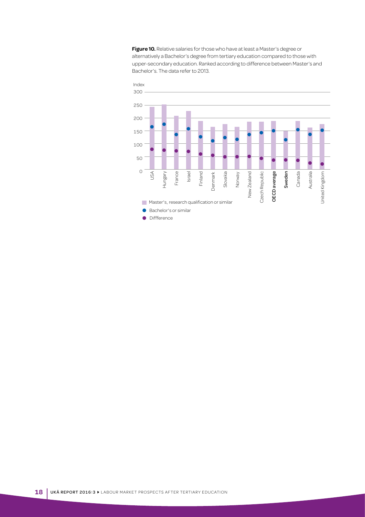**Figure 10.** Relative salaries for those who have at least a Master's degree or alternatively a Bachelor's degree from tertiary education compared to those with upper-secondary education. Ranked according to difference between Master's and Bachelor's. The data refer to 2013.